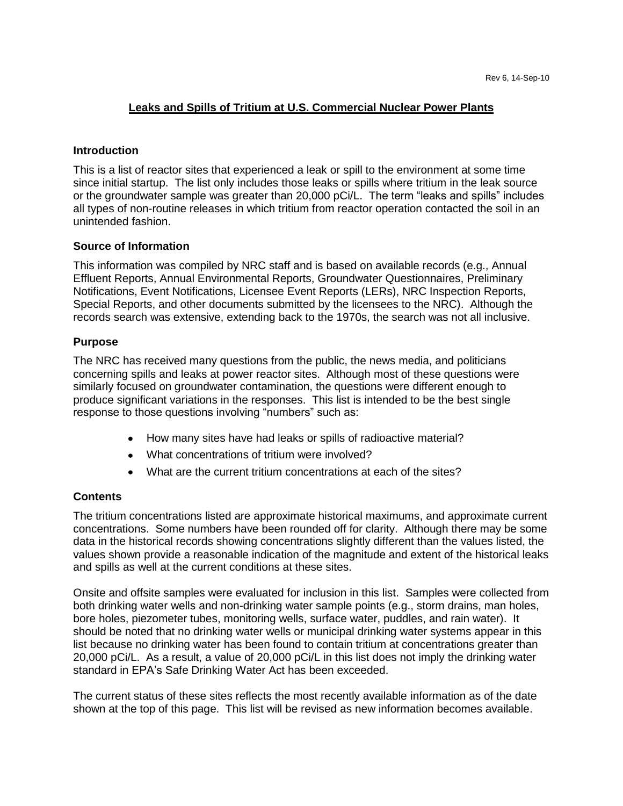## **Leaks and Spills of Tritium at U.S. Commercial Nuclear Power Plants**

### **Introduction**

This is a list of reactor sites that experienced a leak or spill to the environment at some time since initial startup. The list only includes those leaks or spills where tritium in the leak source or the groundwater sample was greater than 20,000 pCi/L. The term "leaks and spills" includes all types of non-routine releases in which tritium from reactor operation contacted the soil in an unintended fashion.

## **Source of Information**

This information was compiled by NRC staff and is based on available records (e.g., Annual Effluent Reports, Annual Environmental Reports, Groundwater Questionnaires, Preliminary Notifications, Event Notifications, Licensee Event Reports (LERs), NRC Inspection Reports, Special Reports, and other documents submitted by the licensees to the NRC). Although the records search was extensive, extending back to the 1970s, the search was not all inclusive.

## **Purpose**

The NRC has received many questions from the public, the news media, and politicians concerning spills and leaks at power reactor sites. Although most of these questions were similarly focused on groundwater contamination, the questions were different enough to produce significant variations in the responses. This list is intended to be the best single response to those questions involving "numbers" such as:

- How many sites have had leaks or spills of radioactive material?  $\bullet$
- What concentrations of tritium were involved?
- What are the current tritium concentrations at each of the sites?

#### **Contents**

The tritium concentrations listed are approximate historical maximums, and approximate current concentrations. Some numbers have been rounded off for clarity. Although there may be some data in the historical records showing concentrations slightly different than the values listed, the values shown provide a reasonable indication of the magnitude and extent of the historical leaks and spills as well at the current conditions at these sites.

Onsite and offsite samples were evaluated for inclusion in this list. Samples were collected from both drinking water wells and non-drinking water sample points (e.g., storm drains, man holes, bore holes, piezometer tubes, monitoring wells, surface water, puddles, and rain water). It should be noted that no drinking water wells or municipal drinking water systems appear in this list because no drinking water has been found to contain tritium at concentrations greater than 20,000 pCi/L. As a result, a value of 20,000 pCi/L in this list does not imply the drinking water standard in EPA's Safe Drinking Water Act has been exceeded.

The current status of these sites reflects the most recently available information as of the date shown at the top of this page. This list will be revised as new information becomes available.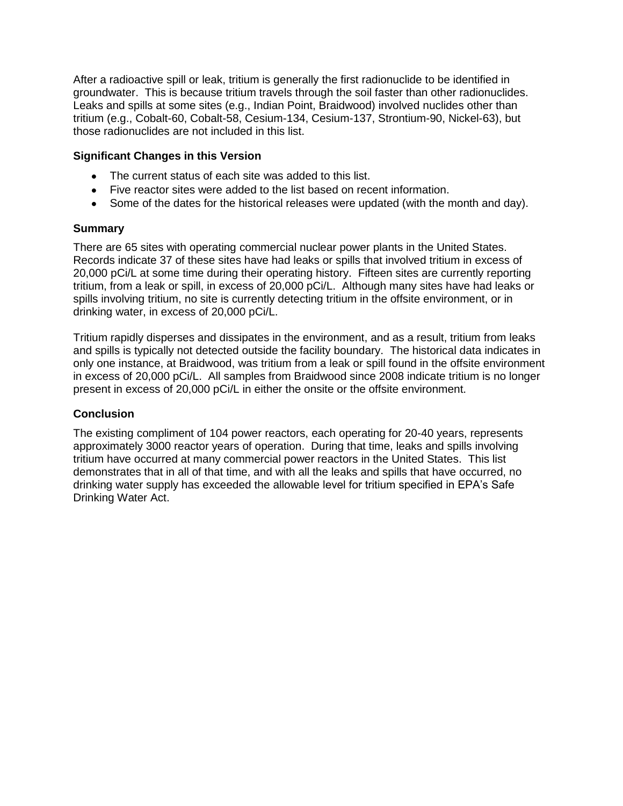After a radioactive spill or leak, tritium is generally the first radionuclide to be identified in groundwater. This is because tritium travels through the soil faster than other radionuclides. Leaks and spills at some sites (e.g., Indian Point, Braidwood) involved nuclides other than tritium (e.g., Cobalt-60, Cobalt-58, Cesium-134, Cesium-137, Strontium-90, Nickel-63), but those radionuclides are not included in this list.

## **Significant Changes in this Version**

- The current status of each site was added to this list.
- Five reactor sites were added to the list based on recent information.
- Some of the dates for the historical releases were updated (with the month and day).

## **Summary**

There are 65 sites with operating commercial nuclear power plants in the United States. Records indicate 37 of these sites have had leaks or spills that involved tritium in excess of 20,000 pCi/L at some time during their operating history. Fifteen sites are currently reporting tritium, from a leak or spill, in excess of 20,000 pCi/L. Although many sites have had leaks or spills involving tritium, no site is currently detecting tritium in the offsite environment, or in drinking water, in excess of 20,000 pCi/L.

Tritium rapidly disperses and dissipates in the environment, and as a result, tritium from leaks and spills is typically not detected outside the facility boundary. The historical data indicates in only one instance, at Braidwood, was tritium from a leak or spill found in the offsite environment in excess of 20,000 pCi/L. All samples from Braidwood since 2008 indicate tritium is no longer present in excess of 20,000 pCi/L in either the onsite or the offsite environment.

## **Conclusion**

The existing compliment of 104 power reactors, each operating for 20-40 years, represents approximately 3000 reactor years of operation. During that time, leaks and spills involving tritium have occurred at many commercial power reactors in the United States. This list demonstrates that in all of that time, and with all the leaks and spills that have occurred, no drinking water supply has exceeded the allowable level for tritium specified in EPA's Safe Drinking Water Act.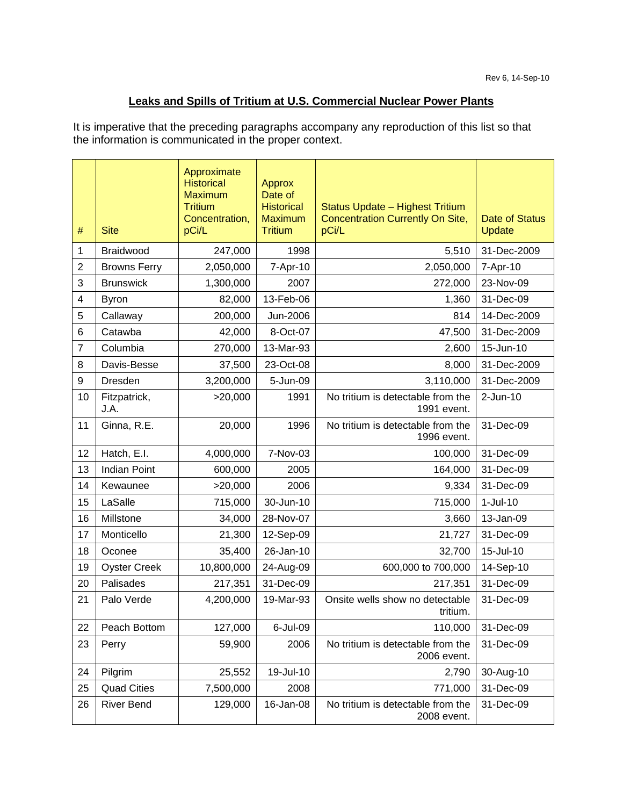# **Leaks and Spills of Tritium at U.S. Commercial Nuclear Power Plants**

It is imperative that the preceding paragraphs accompany any reproduction of this list so that the information is communicated in the proper context.

| #              | <b>Site</b>          | Approximate<br><b>Historical</b><br><b>Maximum</b><br><b>Tritium</b><br>Concentration,<br>pCi/L | Approx<br>Date of<br><b>Historical</b><br><b>Maximum</b><br><b>Tritium</b> | Status Update - Highest Tritium<br>Concentration Currently On Site,<br>pCi/L | Date of Status<br>Update |
|----------------|----------------------|-------------------------------------------------------------------------------------------------|----------------------------------------------------------------------------|------------------------------------------------------------------------------|--------------------------|
| 1              | Braidwood            | 247,000                                                                                         | 1998                                                                       | 5,510                                                                        | 31-Dec-2009              |
| $\overline{2}$ | <b>Browns Ferry</b>  | 2,050,000                                                                                       | 7-Apr-10                                                                   | 2,050,000                                                                    | 7-Apr-10                 |
| 3              | <b>Brunswick</b>     | 1,300,000                                                                                       | 2007                                                                       | 272,000                                                                      | 23-Nov-09                |
| 4              | <b>Byron</b>         | 82,000                                                                                          | 13-Feb-06                                                                  | 1,360                                                                        | 31-Dec-09                |
| 5              | Callaway             | 200,000                                                                                         | Jun-2006                                                                   | 814                                                                          | 14-Dec-2009              |
| 6              | Catawba              | 42,000                                                                                          | 8-Oct-07                                                                   | 47,500                                                                       | 31-Dec-2009              |
| $\overline{7}$ | Columbia             | 270,000                                                                                         | 13-Mar-93                                                                  | 2,600                                                                        | 15-Jun-10                |
| 8              | Davis-Besse          | 37,500                                                                                          | 23-Oct-08                                                                  | 8,000                                                                        | 31-Dec-2009              |
| 9              | Dresden              | 3,200,000                                                                                       | 5-Jun-09                                                                   | 3,110,000                                                                    | 31-Dec-2009              |
| 10             | Fitzpatrick,<br>J.A. | >20,000                                                                                         | 1991                                                                       | No tritium is detectable from the<br>1991 event.                             | $2-Jun-10$               |
| 11             | Ginna, R.E.          | 20,000                                                                                          | 1996                                                                       | No tritium is detectable from the<br>1996 event.                             | 31-Dec-09                |
| 12             | Hatch, E.I.          | 4,000,000                                                                                       | 7-Nov-03                                                                   | 100,000                                                                      | 31-Dec-09                |
| 13             | <b>Indian Point</b>  | 600,000                                                                                         | 2005                                                                       | 164,000                                                                      | 31-Dec-09                |
| 14             | Kewaunee             | >20,000                                                                                         | 2006                                                                       | 9,334                                                                        | 31-Dec-09                |
| 15             | LaSalle              | 715,000                                                                                         | 30-Jun-10                                                                  | 715,000                                                                      | $1-Jul-10$               |
| 16             | Millstone            | 34,000                                                                                          | 28-Nov-07                                                                  | 3,660                                                                        | 13-Jan-09                |
| 17             | Monticello           | 21,300                                                                                          | 12-Sep-09                                                                  | 21,727                                                                       | 31-Dec-09                |
| 18             | Oconee               | 35,400                                                                                          | 26-Jan-10                                                                  | 32,700                                                                       | 15-Jul-10                |
| 19             | <b>Oyster Creek</b>  | 10,800,000                                                                                      | 24-Aug-09                                                                  | 600,000 to 700,000                                                           | 14-Sep-10                |
| 20             | Palisades            | 217,351                                                                                         | 31-Dec-09                                                                  | 217,351                                                                      | 31-Dec-09                |
| 21             | Palo Verde           | 4,200,000                                                                                       | 19-Mar-93                                                                  | Onsite wells show no detectable<br>tritium.                                  | 31-Dec-09                |
| 22             | Peach Bottom         | 127,000                                                                                         | 6-Jul-09                                                                   | 110,000                                                                      | 31-Dec-09                |
| 23             | Perry                | 59,900                                                                                          | 2006                                                                       | No tritium is detectable from the<br>2006 event.                             | 31-Dec-09                |
| 24             | Pilgrim              | 25,552                                                                                          | 19-Jul-10                                                                  | 2,790                                                                        | 30-Aug-10                |
| 25             | <b>Quad Cities</b>   | 7,500,000                                                                                       | 2008                                                                       | 771,000                                                                      | 31-Dec-09                |
| 26             | <b>River Bend</b>    | 129,000                                                                                         | 16-Jan-08                                                                  | No tritium is detectable from the<br>2008 event.                             | 31-Dec-09                |